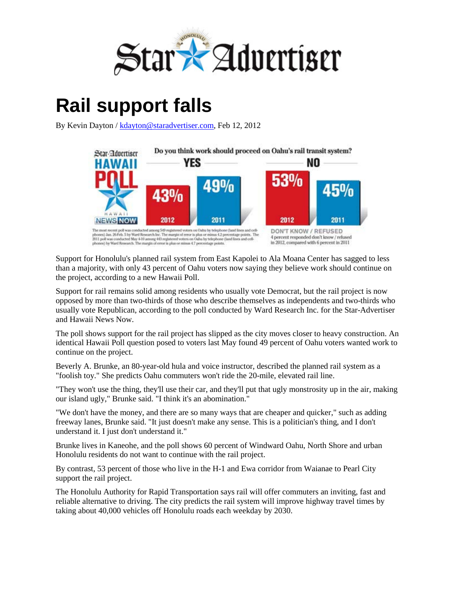

## **Rail support falls**

By Kevin Dayton / [kdayton@staradvertiser.com,](mailto:kdayton@staradvertiser.com) Feb 12, 2012



Support for Honolulu's planned rail system from East Kapolei to Ala Moana Center has sagged to less than a majority, with only 43 percent of Oahu voters now saying they believe work should continue on the project, according to a new Hawaii Poll.

Support for rail remains solid among residents who usually vote Democrat, but the rail project is now opposed by more than two-thirds of those who describe themselves as independents and two-thirds who usually vote Republican, according to the poll conducted by Ward Research Inc. for the Star-Advertiser and Hawaii News Now.

The poll shows support for the rail project has slipped as the city moves closer to heavy construction. An identical Hawaii Poll question posed to voters last May found 49 percent of Oahu voters wanted work to continue on the project.

Beverly A. Brunke, an 80-year-old hula and voice instructor, described the planned rail system as a "foolish toy." She predicts Oahu commuters won't ride the 20-mile, elevated rail line.

"They won't use the thing, they'll use their car, and they'll put that ugly monstrosity up in the air, making our island ugly," Brunke said. "I think it's an abomination."

"We don't have the money, and there are so many ways that are cheaper and quicker," such as adding freeway lanes, Brunke said. "It just doesn't make any sense. This is a politician's thing, and I don't understand it. I just don't understand it."

Brunke lives in Kaneohe, and the poll shows 60 percent of Windward Oahu, North Shore and urban Honolulu residents do not want to continue with the rail project.

By contrast, 53 percent of those who live in the H-1 and Ewa corridor from Waianae to Pearl City support the rail project.

The Honolulu Authority for Rapid Transportation says rail will offer commuters an inviting, fast and reliable alternative to driving. The city predicts the rail system will improve highway travel times by taking about 40,000 vehicles off Honolulu roads each weekday by 2030.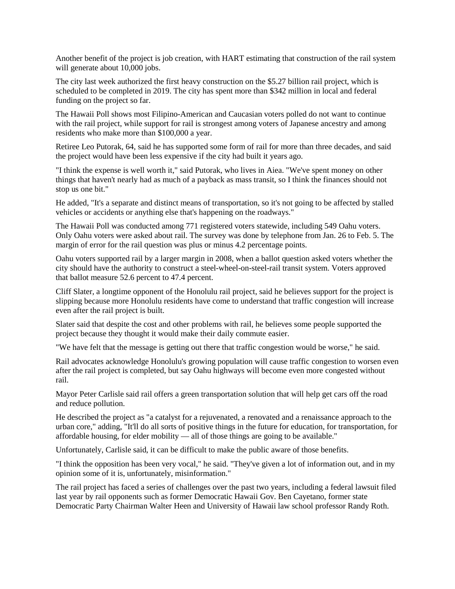Another benefit of the project is job creation, with HART estimating that construction of the rail system will generate about 10,000 jobs.

The city last week authorized the first heavy construction on the \$5.27 billion rail project, which is scheduled to be completed in 2019. The city has spent more than \$342 million in local and federal funding on the project so far.

The Hawaii Poll shows most Filipino-American and Caucasian voters polled do not want to continue with the rail project, while support for rail is strongest among voters of Japanese ancestry and among residents who make more than \$100,000 a year.

Retiree Leo Putorak, 64, said he has supported some form of rail for more than three decades, and said the project would have been less expensive if the city had built it years ago.

"I think the expense is well worth it," said Putorak, who lives in Aiea. "We've spent money on other things that haven't nearly had as much of a payback as mass transit, so I think the finances should not stop us one bit."

He added, "It's a separate and distinct means of transportation, so it's not going to be affected by stalled vehicles or accidents or anything else that's happening on the roadways."

The Hawaii Poll was conducted among 771 registered voters statewide, including 549 Oahu voters. Only Oahu voters were asked about rail. The survey was done by telephone from Jan. 26 to Feb. 5. The margin of error for the rail question was plus or minus 4.2 percentage points.

Oahu voters supported rail by a larger margin in 2008, when a ballot question asked voters whether the city should have the authority to construct a steel-wheel-on-steel-rail transit system. Voters approved that ballot measure 52.6 percent to 47.4 percent.

Cliff Slater, a longtime opponent of the Honolulu rail project, said he believes support for the project is slipping because more Honolulu residents have come to understand that traffic congestion will increase even after the rail project is built.

Slater said that despite the cost and other problems with rail, he believes some people supported the project because they thought it would make their daily commute easier.

"We have felt that the message is getting out there that traffic congestion would be worse," he said.

Rail advocates acknowledge Honolulu's growing population will cause traffic congestion to worsen even after the rail project is completed, but say Oahu highways will become even more congested without rail.

Mayor Peter Carlisle said rail offers a green transportation solution that will help get cars off the road and reduce pollution.

He described the project as "a catalyst for a rejuvenated, a renovated and a renaissance approach to the urban core," adding, "It'll do all sorts of positive things in the future for education, for transportation, for affordable housing, for elder mobility — all of those things are going to be available."

Unfortunately, Carlisle said, it can be difficult to make the public aware of those benefits.

"I think the opposition has been very vocal," he said. "They've given a lot of information out, and in my opinion some of it is, unfortunately, misinformation."

The rail project has faced a series of challenges over the past two years, including a federal lawsuit filed last year by rail opponents such as former Democratic Hawaii Gov. Ben Cayetano, former state Democratic Party Chairman Walter Heen and University of Hawaii law school professor Randy Roth.